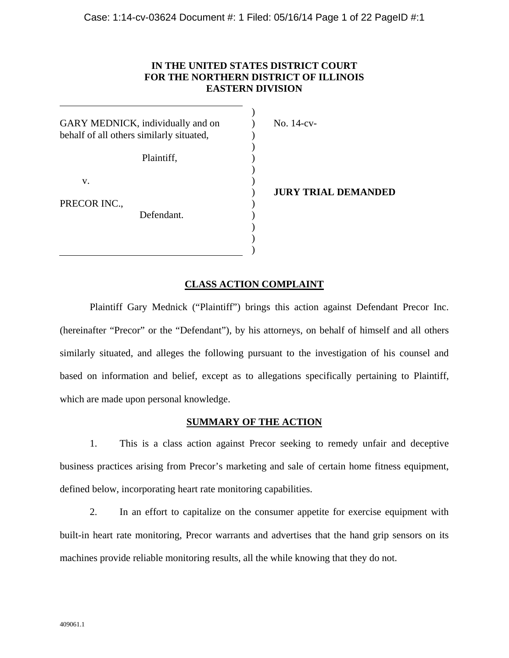# **IN THE UNITED STATES DISTRICT COURT FOR THE NORTHERN DISTRICT OF ILLINOIS EASTERN DIVISION**

| GARY MEDNICK, individually and on<br>behalf of all others similarly situated, |  |
|-------------------------------------------------------------------------------|--|
| Plaintiff,                                                                    |  |
| v.                                                                            |  |
| PRECOR INC.,<br>Defendant.                                                    |  |
|                                                                               |  |

No. 14-cv-

 **JURY TRIAL DEMANDED** 

# **CLASS ACTION COMPLAINT**

)

Plaintiff Gary Mednick ("Plaintiff") brings this action against Defendant Precor Inc. (hereinafter "Precor" or the "Defendant"), by his attorneys, on behalf of himself and all others similarly situated, and alleges the following pursuant to the investigation of his counsel and based on information and belief, except as to allegations specifically pertaining to Plaintiff, which are made upon personal knowledge.

# **SUMMARY OF THE ACTION**

1. This is a class action against Precor seeking to remedy unfair and deceptive business practices arising from Precor's marketing and sale of certain home fitness equipment, defined below, incorporating heart rate monitoring capabilities.

2. In an effort to capitalize on the consumer appetite for exercise equipment with built-in heart rate monitoring, Precor warrants and advertises that the hand grip sensors on its machines provide reliable monitoring results, all the while knowing that they do not.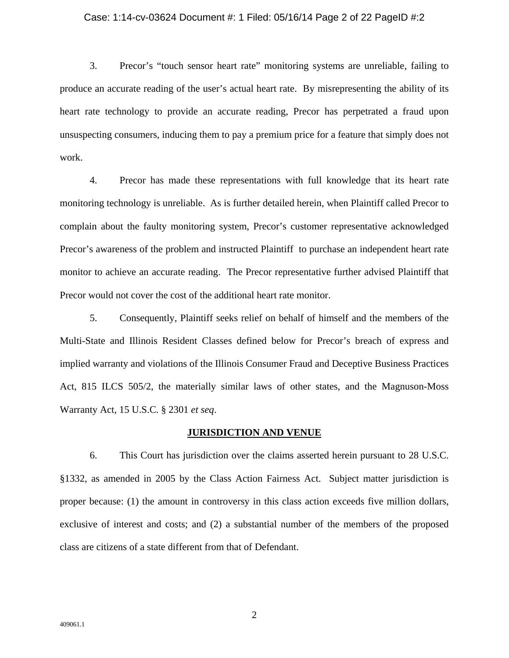### Case: 1:14-cv-03624 Document #: 1 Filed: 05/16/14 Page 2 of 22 PageID #:2

3. Precor's "touch sensor heart rate" monitoring systems are unreliable, failing to produce an accurate reading of the user's actual heart rate. By misrepresenting the ability of its heart rate technology to provide an accurate reading, Precor has perpetrated a fraud upon unsuspecting consumers, inducing them to pay a premium price for a feature that simply does not work.

4. Precor has made these representations with full knowledge that its heart rate monitoring technology is unreliable. As is further detailed herein, when Plaintiff called Precor to complain about the faulty monitoring system, Precor's customer representative acknowledged Precor's awareness of the problem and instructed Plaintiff to purchase an independent heart rate monitor to achieve an accurate reading. The Precor representative further advised Plaintiff that Precor would not cover the cost of the additional heart rate monitor.

5. Consequently, Plaintiff seeks relief on behalf of himself and the members of the Multi-State and Illinois Resident Classes defined below for Precor's breach of express and implied warranty and violations of the Illinois Consumer Fraud and Deceptive Business Practices Act, 815 ILCS 505/2, the materially similar laws of other states, and the Magnuson-Moss Warranty Act, 15 U.S.C. § 2301 *et seq*.

### **JURISDICTION AND VENUE**

6. This Court has jurisdiction over the claims asserted herein pursuant to 28 U.S.C. §1332, as amended in 2005 by the Class Action Fairness Act. Subject matter jurisdiction is proper because: (1) the amount in controversy in this class action exceeds five million dollars, exclusive of interest and costs; and (2) a substantial number of the members of the proposed class are citizens of a state different from that of Defendant.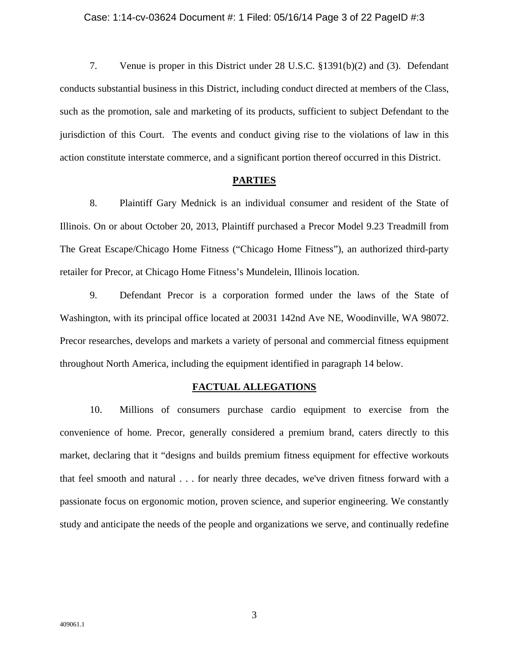### Case: 1:14-cv-03624 Document #: 1 Filed: 05/16/14 Page 3 of 22 PageID #:3

7. Venue is proper in this District under 28 U.S.C. §1391(b)(2) and (3). Defendant conducts substantial business in this District, including conduct directed at members of the Class, such as the promotion, sale and marketing of its products, sufficient to subject Defendant to the jurisdiction of this Court. The events and conduct giving rise to the violations of law in this action constitute interstate commerce, and a significant portion thereof occurred in this District.

## **PARTIES**

8. Plaintiff Gary Mednick is an individual consumer and resident of the State of Illinois. On or about October 20, 2013, Plaintiff purchased a Precor Model 9.23 Treadmill from The Great Escape/Chicago Home Fitness ("Chicago Home Fitness"), an authorized third-party retailer for Precor, at Chicago Home Fitness's Mundelein, Illinois location.

9. Defendant Precor is a corporation formed under the laws of the State of Washington, with its principal office located at 20031 142nd Ave NE, Woodinville, WA 98072. Precor researches, develops and markets a variety of personal and commercial fitness equipment throughout North America, including the equipment identified in paragraph 14 below.

## **FACTUAL ALLEGATIONS**

10. Millions of consumers purchase cardio equipment to exercise from the convenience of home. Precor, generally considered a premium brand, caters directly to this market, declaring that it "designs and builds premium fitness equipment for effective workouts that feel smooth and natural . . . for nearly three decades, we've driven fitness forward with a passionate focus on ergonomic motion, proven science, and superior engineering. We constantly study and anticipate the needs of the people and organizations we serve, and continually redefine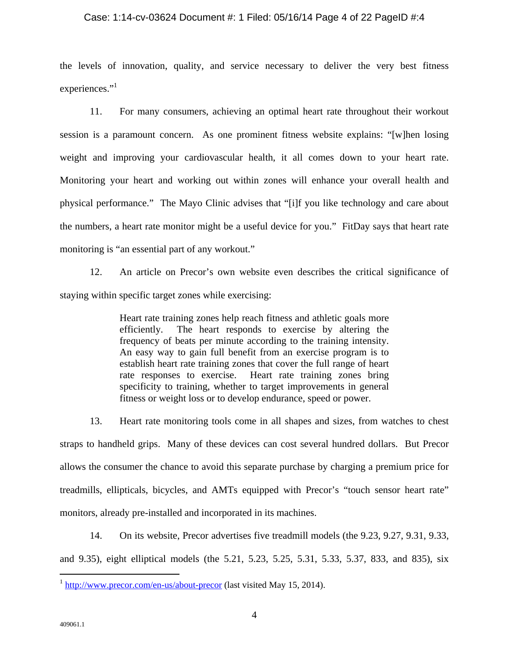### Case: 1:14-cv-03624 Document #: 1 Filed: 05/16/14 Page 4 of 22 PageID #:4

the levels of innovation, quality, and service necessary to deliver the very best fitness experiences."<sup>1</sup>

11. For many consumers, achieving an optimal heart rate throughout their workout session is a paramount concern. As one prominent fitness website explains: "[w]hen losing weight and improving your cardiovascular health, it all comes down to your heart rate. Monitoring your heart and working out within zones will enhance your overall health and physical performance." The Mayo Clinic advises that "[i]f you like technology and care about the numbers, a heart rate monitor might be a useful device for you." FitDay says that heart rate monitoring is "an essential part of any workout."

12. An article on Precor's own website even describes the critical significance of staying within specific target zones while exercising:

> Heart rate training zones help reach fitness and athletic goals more efficiently. The heart responds to exercise by altering the frequency of beats per minute according to the training intensity. An easy way to gain full benefit from an exercise program is to establish heart rate training zones that cover the full range of heart rate responses to exercise. Heart rate training zones bring specificity to training, whether to target improvements in general fitness or weight loss or to develop endurance, speed or power.

13. Heart rate monitoring tools come in all shapes and sizes, from watches to chest straps to handheld grips. Many of these devices can cost several hundred dollars. But Precor allows the consumer the chance to avoid this separate purchase by charging a premium price for treadmills, ellipticals, bicycles, and AMTs equipped with Precor's "touch sensor heart rate" monitors, already pre-installed and incorporated in its machines.

14. On its website, Precor advertises five treadmill models (the 9.23, 9.27, 9.31, 9.33, and 9.35), eight elliptical models (the 5.21, 5.23, 5.25, 5.31, 5.33, 5.37, 833, and 835), six

 $\overline{a}$ 

 $1 \text{ http://www.precor.com/en-us/about-precor (last visited May 15, 2014).}$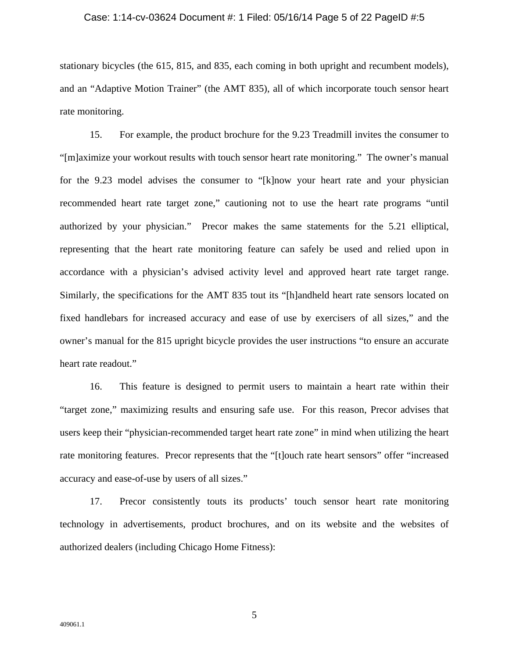### Case: 1:14-cv-03624 Document #: 1 Filed: 05/16/14 Page 5 of 22 PageID #:5

stationary bicycles (the 615, 815, and 835, each coming in both upright and recumbent models), and an "Adaptive Motion Trainer" (the AMT 835), all of which incorporate touch sensor heart rate monitoring.

15. For example, the product brochure for the 9.23 Treadmill invites the consumer to "[m]aximize your workout results with touch sensor heart rate monitoring." The owner's manual for the 9.23 model advises the consumer to "[k]now your heart rate and your physician recommended heart rate target zone," cautioning not to use the heart rate programs "until authorized by your physician." Precor makes the same statements for the 5.21 elliptical, representing that the heart rate monitoring feature can safely be used and relied upon in accordance with a physician's advised activity level and approved heart rate target range. Similarly, the specifications for the AMT 835 tout its "[h]andheld heart rate sensors located on fixed handlebars for increased accuracy and ease of use by exercisers of all sizes," and the owner's manual for the 815 upright bicycle provides the user instructions "to ensure an accurate heart rate readout."

16. This feature is designed to permit users to maintain a heart rate within their "target zone," maximizing results and ensuring safe use. For this reason, Precor advises that users keep their "physician-recommended target heart rate zone" in mind when utilizing the heart rate monitoring features. Precor represents that the "[t]ouch rate heart sensors" offer "increased accuracy and ease-of-use by users of all sizes."

17. Precor consistently touts its products' touch sensor heart rate monitoring technology in advertisements, product brochures, and on its website and the websites of authorized dealers (including Chicago Home Fitness):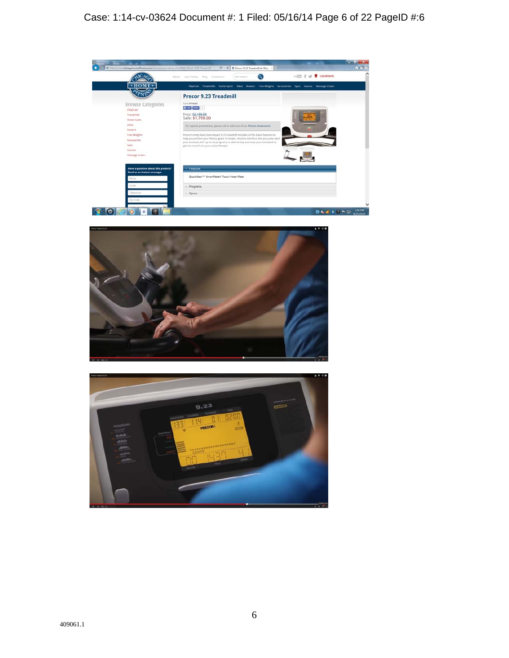# Case: 1:14-cv-03624 Document #: 1 Filed: 05/16/14 Page 6 of 22 PageID #:6





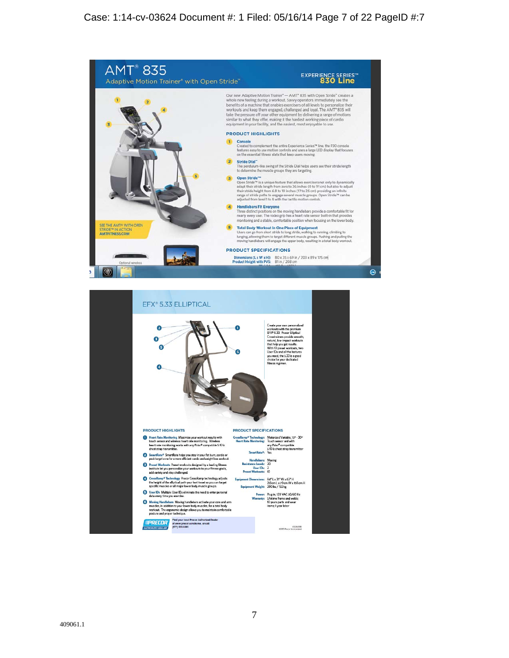## Case: 1:14-cv-03624 Document #: 1 Filed: 05/16/14 Page 7 of 22 PageID #:7



S User IDs Multiple User IDs eliminate the need to enter personal data every time you exercise.

The Moving Handlebars Moving handlebars activate your core and arm<br>muscles, in addition to your lower body muscles, for a total body<br>workout. The ergonomic design allows you to maintain comfortable<br>posture and proper techn **Find your local Precor Authorized Dealer**<br>at www.precor.com/home, or call<br>**UTHORIZED DEALER** (877) 535-3285

Power: Plug in, 120 VAC 50/60 Hz<br>Warranty: Lifetime frame and welds;<br>10 years parts and wear<br>items; 1 year labor

05.29.2013<br>@2013 Precor Incorporated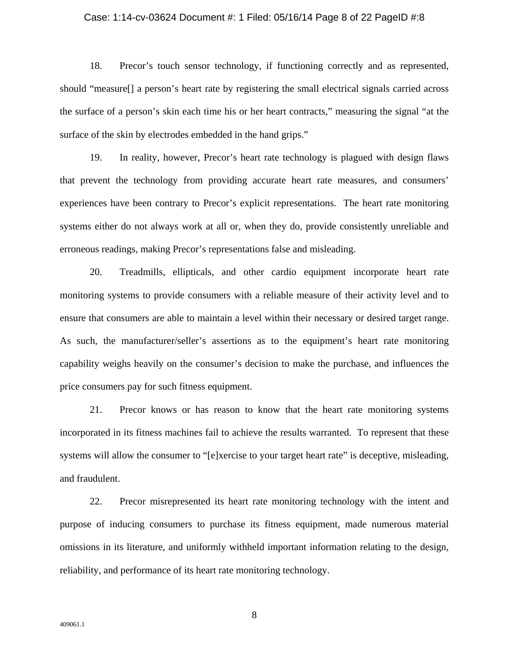### Case: 1:14-cv-03624 Document #: 1 Filed: 05/16/14 Page 8 of 22 PageID #:8

18. Precor's touch sensor technology, if functioning correctly and as represented, should "measure[] a person's heart rate by registering the small electrical signals carried across the surface of a person's skin each time his or her heart contracts," measuring the signal "at the surface of the skin by electrodes embedded in the hand grips."

19. In reality, however, Precor's heart rate technology is plagued with design flaws that prevent the technology from providing accurate heart rate measures, and consumers' experiences have been contrary to Precor's explicit representations. The heart rate monitoring systems either do not always work at all or, when they do, provide consistently unreliable and erroneous readings, making Precor's representations false and misleading.

20. Treadmills, ellipticals, and other cardio equipment incorporate heart rate monitoring systems to provide consumers with a reliable measure of their activity level and to ensure that consumers are able to maintain a level within their necessary or desired target range. As such, the manufacturer/seller's assertions as to the equipment's heart rate monitoring capability weighs heavily on the consumer's decision to make the purchase, and influences the price consumers pay for such fitness equipment.

21. Precor knows or has reason to know that the heart rate monitoring systems incorporated in its fitness machines fail to achieve the results warranted. To represent that these systems will allow the consumer to "[e]xercise to your target heart rate" is deceptive, misleading, and fraudulent.

22. Precor misrepresented its heart rate monitoring technology with the intent and purpose of inducing consumers to purchase its fitness equipment, made numerous material omissions in its literature, and uniformly withheld important information relating to the design, reliability, and performance of its heart rate monitoring technology.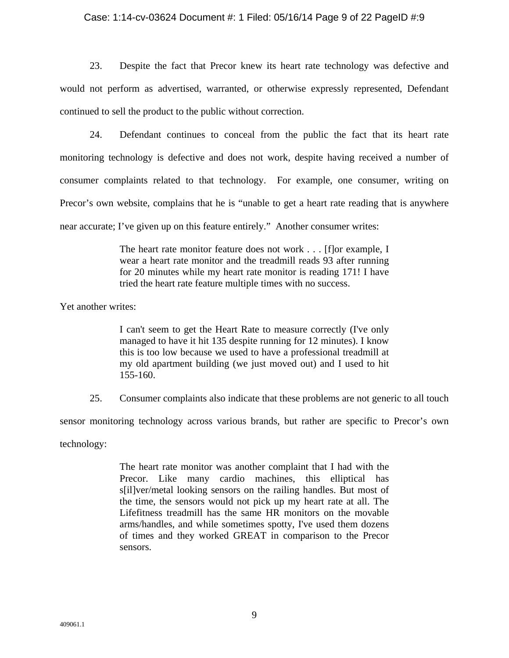## Case: 1:14-cv-03624 Document #: 1 Filed: 05/16/14 Page 9 of 22 PageID #:9

23. Despite the fact that Precor knew its heart rate technology was defective and would not perform as advertised, warranted, or otherwise expressly represented, Defendant continued to sell the product to the public without correction.

24. Defendant continues to conceal from the public the fact that its heart rate monitoring technology is defective and does not work, despite having received a number of consumer complaints related to that technology. For example, one consumer, writing on Precor's own website, complains that he is "unable to get a heart rate reading that is anywhere near accurate; I've given up on this feature entirely." Another consumer writes:

> The heart rate monitor feature does not work . . . [f]or example, I wear a heart rate monitor and the treadmill reads 93 after running for 20 minutes while my heart rate monitor is reading 171! I have tried the heart rate feature multiple times with no success.

Yet another writes:

I can't seem to get the Heart Rate to measure correctly (I've only managed to have it hit 135 despite running for 12 minutes). I know this is too low because we used to have a professional treadmill at my old apartment building (we just moved out) and I used to hit 155-160.

25. Consumer complaints also indicate that these problems are not generic to all touch

sensor monitoring technology across various brands, but rather are specific to Precor's own

technology:

The heart rate monitor was another complaint that I had with the Precor. Like many cardio machines, this elliptical has s[il]ver/metal looking sensors on the railing handles. But most of the time, the sensors would not pick up my heart rate at all. The Lifefitness treadmill has the same HR monitors on the movable arms/handles, and while sometimes spotty, I've used them dozens of times and they worked GREAT in comparison to the Precor sensors.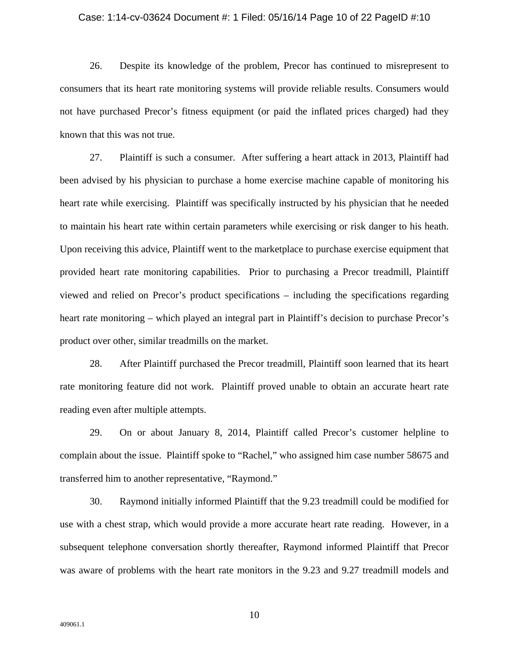#### Case: 1:14-cv-03624 Document #: 1 Filed: 05/16/14 Page 10 of 22 PageID #:10

26. Despite its knowledge of the problem, Precor has continued to misrepresent to consumers that its heart rate monitoring systems will provide reliable results. Consumers would not have purchased Precor's fitness equipment (or paid the inflated prices charged) had they known that this was not true.

27. Plaintiff is such a consumer. After suffering a heart attack in 2013, Plaintiff had been advised by his physician to purchase a home exercise machine capable of monitoring his heart rate while exercising. Plaintiff was specifically instructed by his physician that he needed to maintain his heart rate within certain parameters while exercising or risk danger to his heath. Upon receiving this advice, Plaintiff went to the marketplace to purchase exercise equipment that provided heart rate monitoring capabilities. Prior to purchasing a Precor treadmill, Plaintiff viewed and relied on Precor's product specifications – including the specifications regarding heart rate monitoring – which played an integral part in Plaintiff's decision to purchase Precor's product over other, similar treadmills on the market.

28. After Plaintiff purchased the Precor treadmill, Plaintiff soon learned that its heart rate monitoring feature did not work. Plaintiff proved unable to obtain an accurate heart rate reading even after multiple attempts.

29. On or about January 8, 2014, Plaintiff called Precor's customer helpline to complain about the issue. Plaintiff spoke to "Rachel," who assigned him case number 58675 and transferred him to another representative, "Raymond."

30. Raymond initially informed Plaintiff that the 9.23 treadmill could be modified for use with a chest strap, which would provide a more accurate heart rate reading. However, in a subsequent telephone conversation shortly thereafter, Raymond informed Plaintiff that Precor was aware of problems with the heart rate monitors in the 9.23 and 9.27 treadmill models and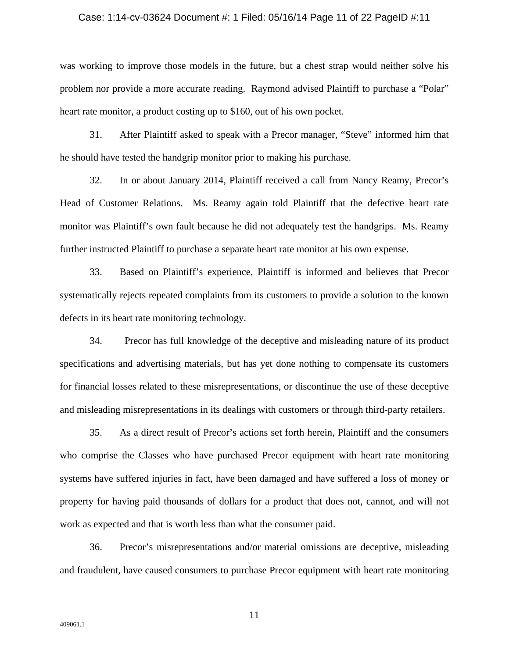### Case: 1:14-cv-03624 Document #: 1 Filed: 05/16/14 Page 11 of 22 PageID #:11

was working to improve those models in the future, but a chest strap would neither solve his problem nor provide a more accurate reading. Raymond advised Plaintiff to purchase a "Polar" heart rate monitor, a product costing up to \$160, out of his own pocket.

31. After Plaintiff asked to speak with a Precor manager, "Steve" informed him that he should have tested the handgrip monitor prior to making his purchase.

32. In or about January 2014, Plaintiff received a call from Nancy Reamy, Precor's Head of Customer Relations. Ms. Reamy again told Plaintiff that the defective heart rate monitor was Plaintiff's own fault because he did not adequately test the handgrips. Ms. Reamy further instructed Plaintiff to purchase a separate heart rate monitor at his own expense.

33. Based on Plaintiff's experience, Plaintiff is informed and believes that Precor systematically rejects repeated complaints from its customers to provide a solution to the known defects in its heart rate monitoring technology.

34. Precor has full knowledge of the deceptive and misleading nature of its product specifications and advertising materials, but has yet done nothing to compensate its customers for financial losses related to these misrepresentations, or discontinue the use of these deceptive and misleading misrepresentations in its dealings with customers or through third-party retailers.

35. As a direct result of Precor's actions set forth herein, Plaintiff and the consumers who comprise the Classes who have purchased Precor equipment with heart rate monitoring systems have suffered injuries in fact, have been damaged and have suffered a loss of money or property for having paid thousands of dollars for a product that does not, cannot, and will not work as expected and that is worth less than what the consumer paid.

36. Precor's misrepresentations and/or material omissions are deceptive, misleading and fraudulent, have caused consumers to purchase Precor equipment with heart rate monitoring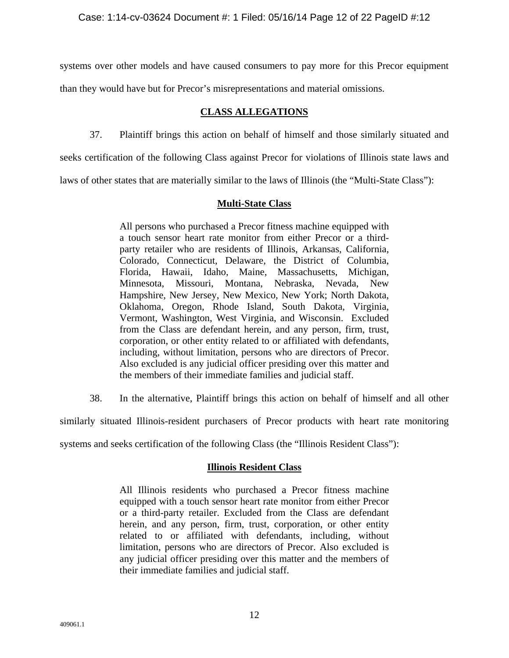systems over other models and have caused consumers to pay more for this Precor equipment than they would have but for Precor's misrepresentations and material omissions.

# **CLASS ALLEGATIONS**

37. Plaintiff brings this action on behalf of himself and those similarly situated and

seeks certification of the following Class against Precor for violations of Illinois state laws and

laws of other states that are materially similar to the laws of Illinois (the "Multi-State Class"):

# **Multi-State Class**

All persons who purchased a Precor fitness machine equipped with a touch sensor heart rate monitor from either Precor or a thirdparty retailer who are residents of Illinois, Arkansas, California, Colorado, Connecticut, Delaware, the District of Columbia, Florida, Hawaii, Idaho, Maine, Massachusetts, Michigan, Minnesota, Missouri, Montana, Nebraska, Nevada, New Hampshire, New Jersey, New Mexico, New York; North Dakota, Oklahoma, Oregon, Rhode Island, South Dakota, Virginia, Vermont, Washington, West Virginia, and Wisconsin. Excluded from the Class are defendant herein, and any person, firm, trust, corporation, or other entity related to or affiliated with defendants, including, without limitation, persons who are directors of Precor. Also excluded is any judicial officer presiding over this matter and the members of their immediate families and judicial staff.

38. In the alternative, Plaintiff brings this action on behalf of himself and all other

similarly situated Illinois-resident purchasers of Precor products with heart rate monitoring

systems and seeks certification of the following Class (the "Illinois Resident Class"):

# **Illinois Resident Class**

All Illinois residents who purchased a Precor fitness machine equipped with a touch sensor heart rate monitor from either Precor or a third-party retailer. Excluded from the Class are defendant herein, and any person, firm, trust, corporation, or other entity related to or affiliated with defendants, including, without limitation, persons who are directors of Precor. Also excluded is any judicial officer presiding over this matter and the members of their immediate families and judicial staff.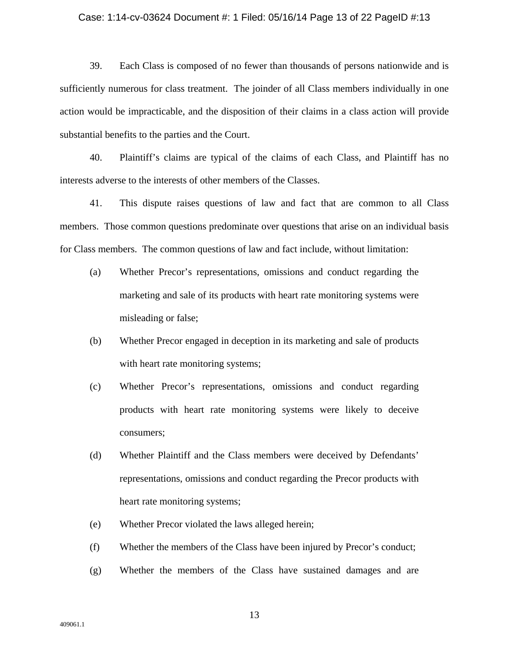### Case: 1:14-cv-03624 Document #: 1 Filed: 05/16/14 Page 13 of 22 PageID #:13

39. Each Class is composed of no fewer than thousands of persons nationwide and is sufficiently numerous for class treatment. The joinder of all Class members individually in one action would be impracticable, and the disposition of their claims in a class action will provide substantial benefits to the parties and the Court.

40. Plaintiff's claims are typical of the claims of each Class, and Plaintiff has no interests adverse to the interests of other members of the Classes.

41. This dispute raises questions of law and fact that are common to all Class members. Those common questions predominate over questions that arise on an individual basis for Class members. The common questions of law and fact include, without limitation:

- (a) Whether Precor's representations, omissions and conduct regarding the marketing and sale of its products with heart rate monitoring systems were misleading or false;
- (b) Whether Precor engaged in deception in its marketing and sale of products with heart rate monitoring systems;
- (c) Whether Precor's representations, omissions and conduct regarding products with heart rate monitoring systems were likely to deceive consumers;
- (d) Whether Plaintiff and the Class members were deceived by Defendants' representations, omissions and conduct regarding the Precor products with heart rate monitoring systems;
- (e) Whether Precor violated the laws alleged herein;
- (f) Whether the members of the Class have been injured by Precor's conduct;
- (g) Whether the members of the Class have sustained damages and are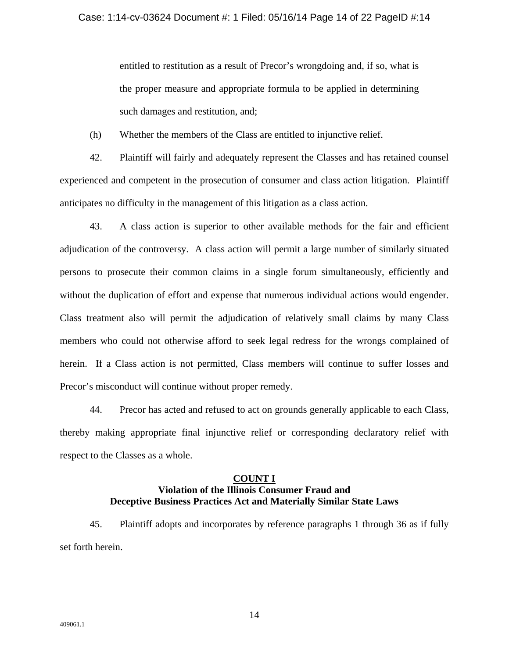entitled to restitution as a result of Precor's wrongdoing and, if so, what is the proper measure and appropriate formula to be applied in determining such damages and restitution, and;

(h) Whether the members of the Class are entitled to injunctive relief.

42. Plaintiff will fairly and adequately represent the Classes and has retained counsel experienced and competent in the prosecution of consumer and class action litigation. Plaintiff anticipates no difficulty in the management of this litigation as a class action.

43. A class action is superior to other available methods for the fair and efficient adjudication of the controversy. A class action will permit a large number of similarly situated persons to prosecute their common claims in a single forum simultaneously, efficiently and without the duplication of effort and expense that numerous individual actions would engender. Class treatment also will permit the adjudication of relatively small claims by many Class members who could not otherwise afford to seek legal redress for the wrongs complained of herein. If a Class action is not permitted, Class members will continue to suffer losses and Precor's misconduct will continue without proper remedy.

44. Precor has acted and refused to act on grounds generally applicable to each Class, thereby making appropriate final injunctive relief or corresponding declaratory relief with respect to the Classes as a whole.

## **COUNT I Violation of the Illinois Consumer Fraud and Deceptive Business Practices Act and Materially Similar State Laws**

45. Plaintiff adopts and incorporates by reference paragraphs 1 through 36 as if fully set forth herein.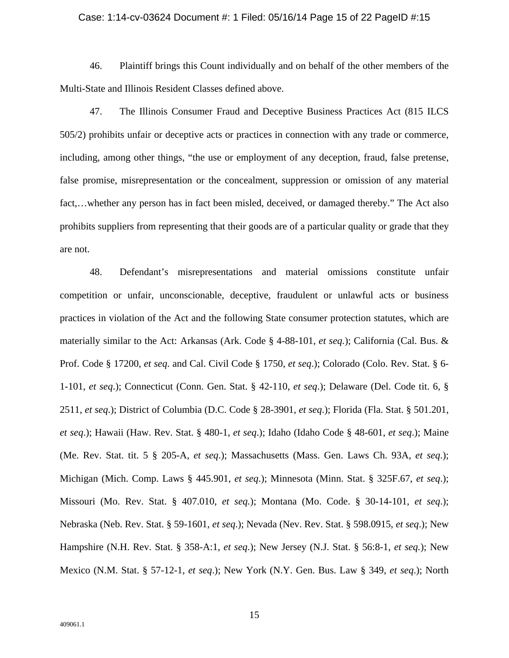### Case: 1:14-cv-03624 Document #: 1 Filed: 05/16/14 Page 15 of 22 PageID #:15

46. Plaintiff brings this Count individually and on behalf of the other members of the Multi-State and Illinois Resident Classes defined above.

47. The Illinois Consumer Fraud and Deceptive Business Practices Act (815 ILCS 505/2) prohibits unfair or deceptive acts or practices in connection with any trade or commerce, including, among other things, "the use or employment of any deception, fraud, false pretense, false promise, misrepresentation or the concealment, suppression or omission of any material fact,…whether any person has in fact been misled, deceived, or damaged thereby." The Act also prohibits suppliers from representing that their goods are of a particular quality or grade that they are not.

48. Defendant's misrepresentations and material omissions constitute unfair competition or unfair, unconscionable, deceptive, fraudulent or unlawful acts or business practices in violation of the Act and the following State consumer protection statutes, which are materially similar to the Act: Arkansas (Ark. Code § 4-88-101, *et seq.*); California (Cal. Bus. & Prof. Code § 17200, *et seq*. and Cal. Civil Code § 1750, *et seq*.); Colorado (Colo. Rev. Stat. § 6- 1-101, *et seq*.); Connecticut (Conn. Gen. Stat. § 42-110, *et seq*.); Delaware (Del. Code tit. 6, § 2511, *et seq*.); District of Columbia (D.C. Code § 28-3901, *et seq*.); Florida (Fla. Stat. § 501.201, *et seq*.); Hawaii (Haw. Rev. Stat. § 480-1, *et seq*.); Idaho (Idaho Code § 48-601, *et seq*.); Maine (Me. Rev. Stat. tit. 5 § 205-A, *et seq*.); Massachusetts (Mass. Gen. Laws Ch. 93A, *et seq*.); Michigan (Mich. Comp. Laws § 445.901, *et seq*.); Minnesota (Minn. Stat. § 325F.67, *et seq*.); Missouri (Mo. Rev. Stat. § 407.010, *et seq.*); Montana (Mo. Code. § 30-14-101, *et seq*.); Nebraska (Neb. Rev. Stat. § 59-1601, *et seq*.); Nevada (Nev. Rev. Stat. § 598.0915, *et seq*.); New Hampshire (N.H. Rev. Stat. § 358-A:1, *et seq*.); New Jersey (N.J. Stat. § 56:8-1, *et seq.*); New Mexico (N.M. Stat. § 57-12-1, *et seq*.); New York (N.Y. Gen. Bus. Law § 349, *et seq*.); North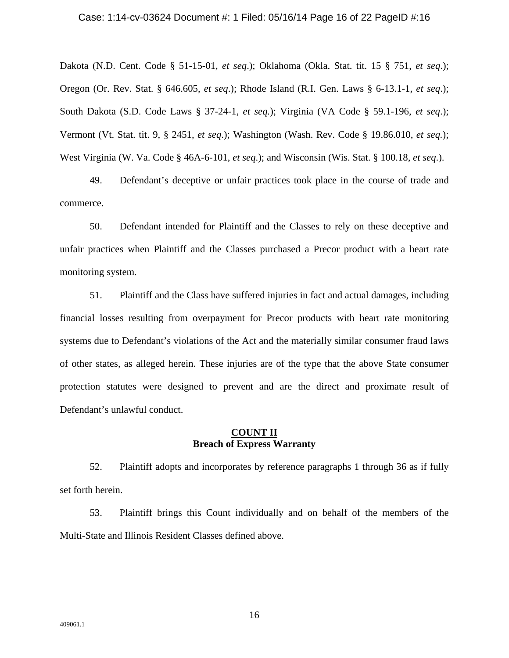### Case: 1:14-cv-03624 Document #: 1 Filed: 05/16/14 Page 16 of 22 PageID #:16

Dakota (N.D. Cent. Code § 51-15-01, *et seq*.); Oklahoma (Okla. Stat. tit. 15 § 751, *et seq*.); Oregon (Or. Rev. Stat. § 646.605, *et seq*.); Rhode Island (R.I. Gen. Laws § 6-13.1-1, *et seq*.); South Dakota (S.D. Code Laws § 37-24-1, *et seq.*); Virginia (VA Code § 59.1-196, *et seq*.); Vermont (Vt. Stat. tit. 9, § 2451, *et seq*.); Washington (Wash. Rev. Code § 19.86.010, *et seq.*); West Virginia (W. Va. Code § 46A-6-101, *et seq*.); and Wisconsin (Wis. Stat. § 100.18, *et seq*.).

49. Defendant's deceptive or unfair practices took place in the course of trade and commerce.

50. Defendant intended for Plaintiff and the Classes to rely on these deceptive and unfair practices when Plaintiff and the Classes purchased a Precor product with a heart rate monitoring system.

51. Plaintiff and the Class have suffered injuries in fact and actual damages, including financial losses resulting from overpayment for Precor products with heart rate monitoring systems due to Defendant's violations of the Act and the materially similar consumer fraud laws of other states, as alleged herein. These injuries are of the type that the above State consumer protection statutes were designed to prevent and are the direct and proximate result of Defendant's unlawful conduct.

## **COUNT II Breach of Express Warranty**

52. Plaintiff adopts and incorporates by reference paragraphs 1 through 36 as if fully set forth herein.

53. Plaintiff brings this Count individually and on behalf of the members of the Multi-State and Illinois Resident Classes defined above.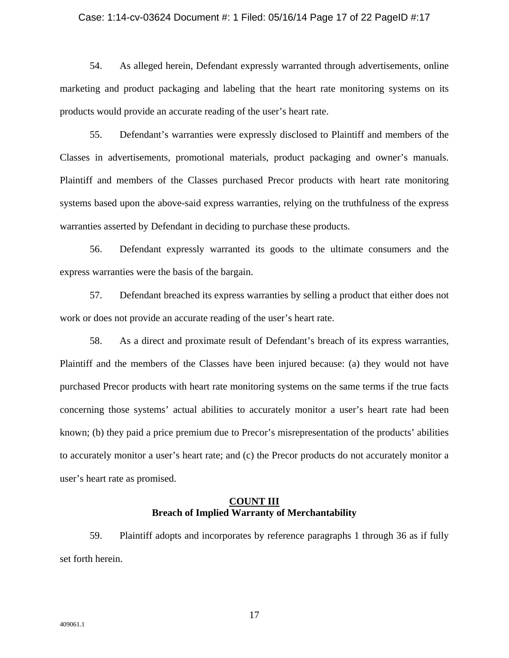### Case: 1:14-cv-03624 Document #: 1 Filed: 05/16/14 Page 17 of 22 PageID #:17

54. As alleged herein, Defendant expressly warranted through advertisements, online marketing and product packaging and labeling that the heart rate monitoring systems on its products would provide an accurate reading of the user's heart rate.

55. Defendant's warranties were expressly disclosed to Plaintiff and members of the Classes in advertisements, promotional materials, product packaging and owner's manuals. Plaintiff and members of the Classes purchased Precor products with heart rate monitoring systems based upon the above-said express warranties, relying on the truthfulness of the express warranties asserted by Defendant in deciding to purchase these products.

56. Defendant expressly warranted its goods to the ultimate consumers and the express warranties were the basis of the bargain.

57. Defendant breached its express warranties by selling a product that either does not work or does not provide an accurate reading of the user's heart rate.

58. As a direct and proximate result of Defendant's breach of its express warranties, Plaintiff and the members of the Classes have been injured because: (a) they would not have purchased Precor products with heart rate monitoring systems on the same terms if the true facts concerning those systems' actual abilities to accurately monitor a user's heart rate had been known; (b) they paid a price premium due to Precor's misrepresentation of the products' abilities to accurately monitor a user's heart rate; and (c) the Precor products do not accurately monitor a user's heart rate as promised.

## **COUNT III Breach of Implied Warranty of Merchantability**

59. Plaintiff adopts and incorporates by reference paragraphs 1 through 36 as if fully set forth herein.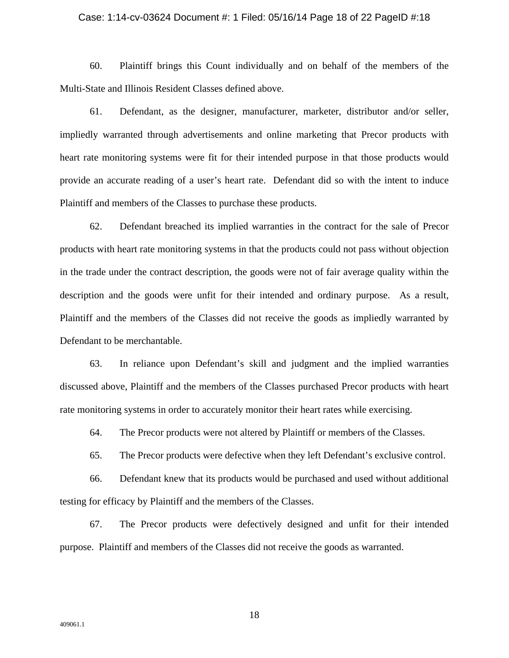### Case: 1:14-cv-03624 Document #: 1 Filed: 05/16/14 Page 18 of 22 PageID #:18

60. Plaintiff brings this Count individually and on behalf of the members of the Multi-State and Illinois Resident Classes defined above.

61. Defendant, as the designer, manufacturer, marketer, distributor and/or seller, impliedly warranted through advertisements and online marketing that Precor products with heart rate monitoring systems were fit for their intended purpose in that those products would provide an accurate reading of a user's heart rate. Defendant did so with the intent to induce Plaintiff and members of the Classes to purchase these products.

62. Defendant breached its implied warranties in the contract for the sale of Precor products with heart rate monitoring systems in that the products could not pass without objection in the trade under the contract description, the goods were not of fair average quality within the description and the goods were unfit for their intended and ordinary purpose. As a result, Plaintiff and the members of the Classes did not receive the goods as impliedly warranted by Defendant to be merchantable.

63. In reliance upon Defendant's skill and judgment and the implied warranties discussed above, Plaintiff and the members of the Classes purchased Precor products with heart rate monitoring systems in order to accurately monitor their heart rates while exercising.

64. The Precor products were not altered by Plaintiff or members of the Classes.

65. The Precor products were defective when they left Defendant's exclusive control.

66. Defendant knew that its products would be purchased and used without additional testing for efficacy by Plaintiff and the members of the Classes.

67. The Precor products were defectively designed and unfit for their intended purpose. Plaintiff and members of the Classes did not receive the goods as warranted.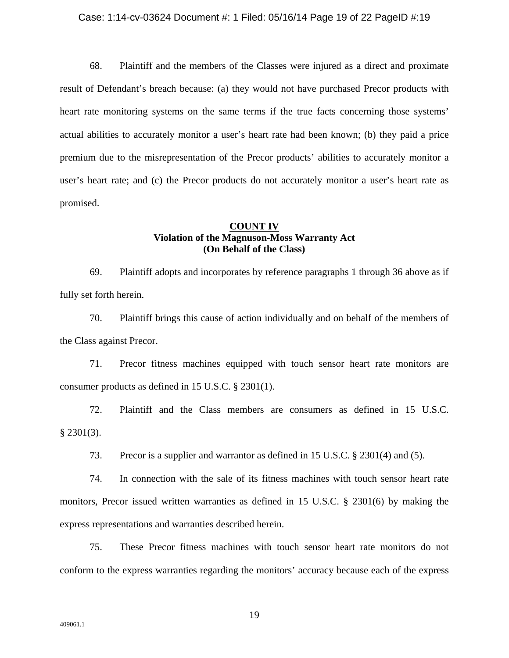68. Plaintiff and the members of the Classes were injured as a direct and proximate result of Defendant's breach because: (a) they would not have purchased Precor products with heart rate monitoring systems on the same terms if the true facts concerning those systems' actual abilities to accurately monitor a user's heart rate had been known; (b) they paid a price premium due to the misrepresentation of the Precor products' abilities to accurately monitor a user's heart rate; and (c) the Precor products do not accurately monitor a user's heart rate as promised.

# **COUNT IV Violation of the Magnuson-Moss Warranty Act (On Behalf of the Class)**

69. Plaintiff adopts and incorporates by reference paragraphs 1 through 36 above as if fully set forth herein.

70. Plaintiff brings this cause of action individually and on behalf of the members of the Class against Precor.

71. Precor fitness machines equipped with touch sensor heart rate monitors are consumer products as defined in 15 U.S.C. § 2301(1).

72. Plaintiff and the Class members are consumers as defined in 15 U.S.C.  $§$  2301(3).

73. Precor is a supplier and warrantor as defined in 15 U.S.C. § 2301(4) and (5).

74. In connection with the sale of its fitness machines with touch sensor heart rate monitors, Precor issued written warranties as defined in 15 U.S.C. § 2301(6) by making the express representations and warranties described herein.

75. These Precor fitness machines with touch sensor heart rate monitors do not conform to the express warranties regarding the monitors' accuracy because each of the express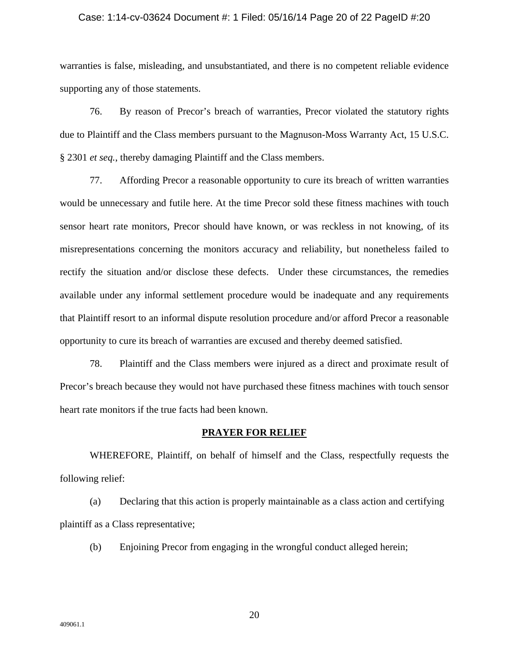### Case: 1:14-cv-03624 Document #: 1 Filed: 05/16/14 Page 20 of 22 PageID #:20

warranties is false, misleading, and unsubstantiated, and there is no competent reliable evidence supporting any of those statements.

76. By reason of Precor's breach of warranties, Precor violated the statutory rights due to Plaintiff and the Class members pursuant to the Magnuson-Moss Warranty Act, 15 U.S.C. § 2301 *et seq.*, thereby damaging Plaintiff and the Class members.

77. Affording Precor a reasonable opportunity to cure its breach of written warranties would be unnecessary and futile here. At the time Precor sold these fitness machines with touch sensor heart rate monitors, Precor should have known, or was reckless in not knowing, of its misrepresentations concerning the monitors accuracy and reliability, but nonetheless failed to rectify the situation and/or disclose these defects. Under these circumstances, the remedies available under any informal settlement procedure would be inadequate and any requirements that Plaintiff resort to an informal dispute resolution procedure and/or afford Precor a reasonable opportunity to cure its breach of warranties are excused and thereby deemed satisfied.

78. Plaintiff and the Class members were injured as a direct and proximate result of Precor's breach because they would not have purchased these fitness machines with touch sensor heart rate monitors if the true facts had been known.

## **PRAYER FOR RELIEF**

WHEREFORE, Plaintiff, on behalf of himself and the Class, respectfully requests the following relief:

(a) Declaring that this action is properly maintainable as a class action and certifying plaintiff as a Class representative;

(b) Enjoining Precor from engaging in the wrongful conduct alleged herein;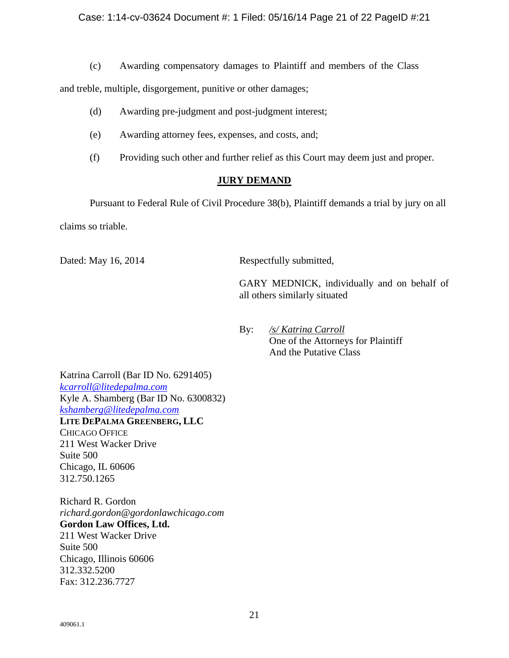## Case: 1:14-cv-03624 Document #: 1 Filed: 05/16/14 Page 21 of 22 PageID #:21

(c) Awarding compensatory damages to Plaintiff and members of the Class

and treble, multiple, disgorgement, punitive or other damages;

- (d) Awarding pre-judgment and post-judgment interest;
- (e) Awarding attorney fees, expenses, and costs, and;
- (f) Providing such other and further relief as this Court may deem just and proper.

## **JURY DEMAND**

Pursuant to Federal Rule of Civil Procedure 38(b), Plaintiff demands a trial by jury on all

claims so triable.

Dated: May 16, 2014 Respectfully submitted,

GARY MEDNICK, individually and on behalf of all others similarly situated

 By: */s/ Katrina Carroll* One of the Attorneys for Plaintiff And the Putative Class

Katrina Carroll (Bar ID No. 6291405) *kcarroll@litedepalma.com* Kyle A. Shamberg (Bar ID No. 6300832) *kshamberg@litedepalma.com* **LITE DEPALMA GREENBERG, LLC**  CHICAGO OFFICE 211 West Wacker Drive Suite 500 Chicago, IL 60606 312.750.1265

Richard R. Gordon *richard.gordon@gordonlawchicago.com*  **Gordon Law Offices, Ltd.**  211 West Wacker Drive Suite 500 Chicago, Illinois 60606 312.332.5200 Fax: 312.236.7727